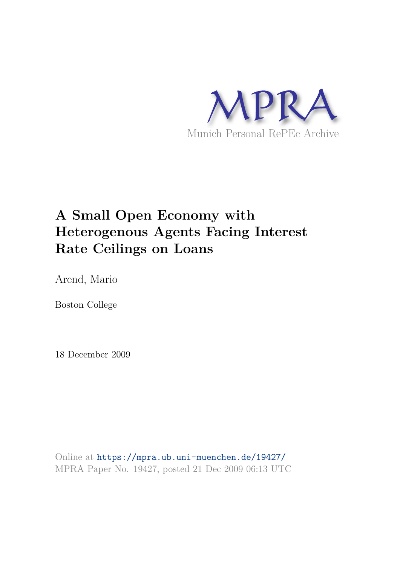

## **A Small Open Economy with Heterogenous Agents Facing Interest Rate Ceilings on Loans**

Arend, Mario

Boston College

18 December 2009

Online at https://mpra.ub.uni-muenchen.de/19427/ MPRA Paper No. 19427, posted 21 Dec 2009 06:13 UTC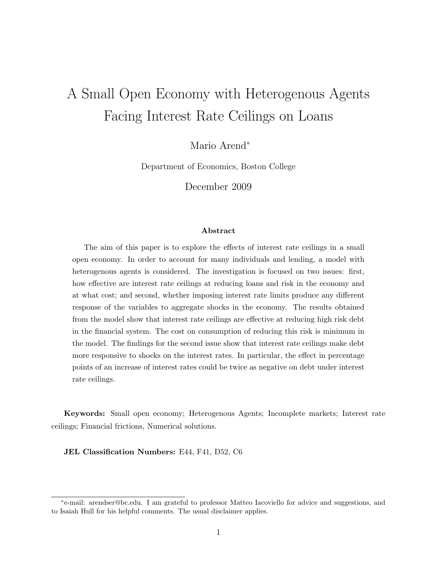# A Small Open Economy with Heterogenous Agents Facing Interest Rate Ceilings on Loans

Mario Arend<sup>∗</sup>

Department of Economics, Boston College

December 2009

#### Abstract

The aim of this paper is to explore the effects of interest rate ceilings in a small open economy. In order to account for many individuals and lending, a model with heterogenous agents is considered. The investigation is focused on two issues: first, how effective are interest rate ceilings at reducing loans and risk in the economy and at what cost; and second, whether imposing interest rate limits produce any different response of the variables to aggregate shocks in the economy. The results obtained from the model show that interest rate ceilings are effective at reducing high risk debt in the financial system. The cost on consumption of reducing this risk is minimum in the model. The findings for the second issue show that interest rate ceilings make debt more responsive to shocks on the interest rates. In particular, the effect in percentage points of an increase of interest rates could be twice as negative on debt under interest rate ceilings.

Keywords: Small open economy; Heterogenous Agents; Incomplete markets; Interest rate ceilings; Financial frictions, Numerical solutions.

JEL Classification Numbers: E44, F41, D52, C6

<sup>∗</sup> e-mail: arendser@bc.edu. I am grateful to professor Matteo Iacoviello for advice and suggestions, and to Isaiah Hull for his helpful comments. The usual disclaimer applies.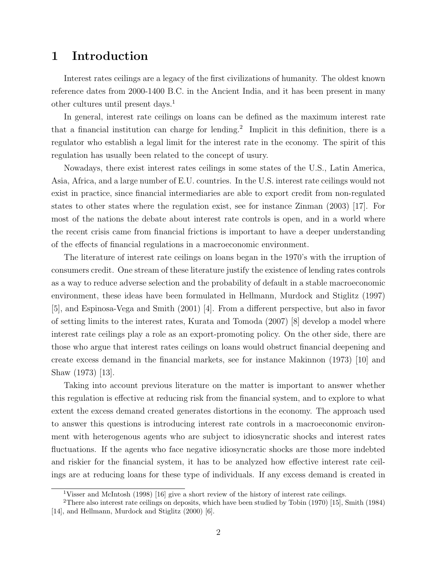## 1 Introduction

Interest rates ceilings are a legacy of the first civilizations of humanity. The oldest known reference dates from 2000-1400 B.C. in the Ancient India, and it has been present in many other cultures until present days.<sup>1</sup>

In general, interest rate ceilings on loans can be defined as the maximum interest rate that a financial institution can charge for lending.<sup>2</sup> Implicit in this definition, there is a regulator who establish a legal limit for the interest rate in the economy. The spirit of this regulation has usually been related to the concept of usury.

Nowadays, there exist interest rates ceilings in some states of the U.S., Latin America, Asia, Africa, and a large number of E.U. countries. In the U.S. interest rate ceilings would not exist in practice, since financial intermediaries are able to export credit from non-regulated states to other states where the regulation exist, see for instance Zinman (2003) [17]. For most of the nations the debate about interest rate controls is open, and in a world where the recent crisis came from financial frictions is important to have a deeper understanding of the effects of financial regulations in a macroeconomic environment.

The literature of interest rate ceilings on loans began in the 1970's with the irruption of consumers credit. One stream of these literature justify the existence of lending rates controls as a way to reduce adverse selection and the probability of default in a stable macroeconomic environment, these ideas have been formulated in Hellmann, Murdock and Stiglitz (1997) [5], and Espinosa-Vega and Smith (2001) [4]. From a different perspective, but also in favor of setting limits to the interest rates, Kurata and Tomoda (2007) [8] develop a model where interest rate ceilings play a role as an export-promoting policy. On the other side, there are those who argue that interest rates ceilings on loans would obstruct financial deepening and create excess demand in the financial markets, see for instance Makinnon (1973) [10] and Shaw (1973) [13].

Taking into account previous literature on the matter is important to answer whether this regulation is effective at reducing risk from the financial system, and to explore to what extent the excess demand created generates distortions in the economy. The approach used to answer this questions is introducing interest rate controls in a macroeconomic environment with heterogenous agents who are subject to idiosyncratic shocks and interest rates fluctuations. If the agents who face negative idiosyncratic shocks are those more indebted and riskier for the financial system, it has to be analyzed how effective interest rate ceilings are at reducing loans for these type of individuals. If any excess demand is created in

<sup>&</sup>lt;sup>1</sup>Visser and McIntosh (1998) [16] give a short review of the history of interest rate ceilings.

<sup>2</sup>There also interest rate ceilings on deposits, which have been studied by Tobin (1970) [15], Smith (1984) [14], and Hellmann, Murdock and Stiglitz (2000) [6].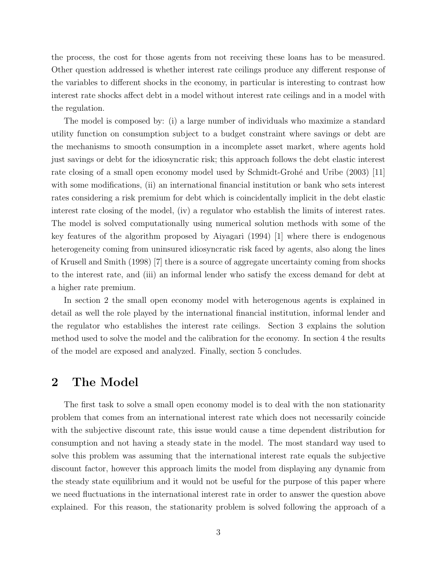the process, the cost for those agents from not receiving these loans has to be measured. Other question addressed is whether interest rate ceilings produce any different response of the variables to different shocks in the economy, in particular is interesting to contrast how interest rate shocks affect debt in a model without interest rate ceilings and in a model with the regulation.

The model is composed by: (i) a large number of individuals who maximize a standard utility function on consumption subject to a budget constraint where savings or debt are the mechanisms to smooth consumption in a incomplete asset market, where agents hold just savings or debt for the idiosyncratic risk; this approach follows the debt elastic interest rate closing of a small open economy model used by Schmidt-Grohé and Uribe (2003) [11] with some modifications, (ii) an international financial institution or bank who sets interest rates considering a risk premium for debt which is coincidentally implicit in the debt elastic interest rate closing of the model, (iv) a regulator who establish the limits of interest rates. The model is solved computationally using numerical solution methods with some of the key features of the algorithm proposed by Aiyagari (1994) [1] where there is endogenous heterogeneity coming from uninsured idiosyncratic risk faced by agents, also along the lines of Krusell and Smith (1998) [7] there is a source of aggregate uncertainty coming from shocks to the interest rate, and (iii) an informal lender who satisfy the excess demand for debt at a higher rate premium.

In section 2 the small open economy model with heterogenous agents is explained in detail as well the role played by the international financial institution, informal lender and the regulator who establishes the interest rate ceilings. Section 3 explains the solution method used to solve the model and the calibration for the economy. In section 4 the results of the model are exposed and analyzed. Finally, section 5 concludes.

## 2 The Model

The first task to solve a small open economy model is to deal with the non stationarity problem that comes from an international interest rate which does not necessarily coincide with the subjective discount rate, this issue would cause a time dependent distribution for consumption and not having a steady state in the model. The most standard way used to solve this problem was assuming that the international interest rate equals the subjective discount factor, however this approach limits the model from displaying any dynamic from the steady state equilibrium and it would not be useful for the purpose of this paper where we need fluctuations in the international interest rate in order to answer the question above explained. For this reason, the stationarity problem is solved following the approach of a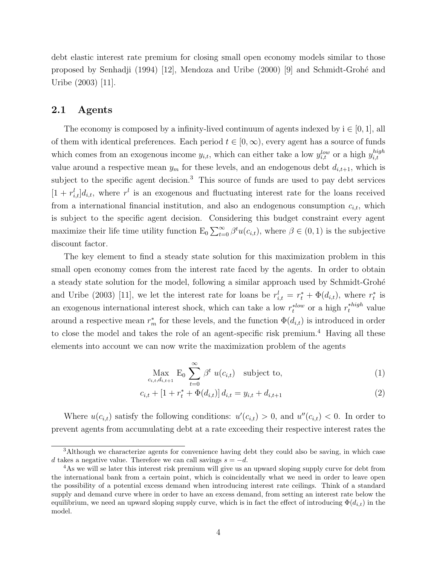debt elastic interest rate premium for closing small open economy models similar to those proposed by Senhadji (1994) [12], Mendoza and Uribe (2000) [9] and Schmidt-Grohé and Uribe (2003) [11].

#### 2.1 Agents

The economy is composed by a infinity-lived continuum of agents indexed by  $i \in [0,1]$ , all of them with identical preferences. Each period  $t \in [0,\infty)$ , every agent has a source of funds which comes from an exogenous income  $y_{i,t}$ , which can either take a low  $y_{i,t}^{low}$  or a high  $y_{i,t}^{high}$ i,t value around a respective mean  $y_m$  for these levels, and an endogenous debt  $d_{i,t+1}$ , which is subject to the specific agent decision.<sup>3</sup> This source of funds are used to pay debt services  $[1 + r_{i,t}^l]d_{i,t}$ , where  $r^l$  is an exogenous and fluctuating interest rate for the loans received from a international financial institution, and also an endogenous consumption  $c_{i,t}$ , which is subject to the specific agent decision. Considering this budget constraint every agent maximize their life time utility function  $E_0 \sum_{t=0}^{\infty} \beta^t u(c_{i,t})$ , where  $\beta \in (0,1)$  is the subjective discount factor.

The key element to find a steady state solution for this maximization problem in this small open economy comes from the interest rate faced by the agents. In order to obtain a steady state solution for the model, following a similar approach used by Schmidt-Grohé and Uribe (2003) [11], we let the interest rate for loans be  $r_{i,t}^l = r_t^* + \Phi(d_{i,t})$ , where  $r_t^*$  $\frac{1}{t}$  is an exogenous international interest shock, which can take a low  $r_t^{*low}$  or a high  $r_t^{*high}$  value around a respective mean  $r_m^*$  for these levels, and the function  $\Phi(d_{i,t})$  is introduced in order to close the model and takes the role of an agent-specific risk premium.<sup>4</sup> Having all these elements into account we can now write the maximization problem of the agents

$$
\underset{c_{i,t},d_{i,t+1}}{\text{Max}} \mathbf{E}_0 \sum_{t=0}^{\infty} \beta^t u(c_{i,t}) \quad \text{subject to,} \tag{1}
$$

$$
c_{i,t} + [1 + r_t^* + \Phi(d_{i,t})] d_{i,t} = y_{i,t} + d_{i,t+1}
$$
\n(2)

Where  $u(c_{i,t})$  satisfy the following conditions:  $u'(c_{i,t}) > 0$ , and  $u''(c_{i,t}) < 0$ . In order to prevent agents from accumulating debt at a rate exceeding their respective interest rates the

<sup>3</sup>Although we characterize agents for convenience having debt they could also be saving, in which case d takes a negative value. Therefore we can call savings  $s = -d$ .

<sup>&</sup>lt;sup>4</sup>As we will se later this interest risk premium will give us an upward sloping supply curve for debt from the international bank from a certain point, which is coincidentally what we need in order to leave open the possibility of a potential excess demand when introducing interest rate ceilings. Think of a standard supply and demand curve where in order to have an excess demand, from setting an interest rate below the equilibrium, we need an upward sloping supply curve, which is in fact the effect of introducing  $\Phi(d_{i,t})$  in the model.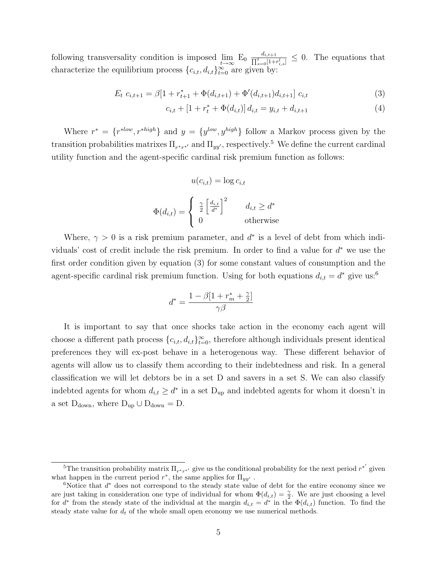following transversality condition is imposed  $\lim_{t\to\infty}$  E<sub>0</sub>  $\frac{d_{i,t+1}}{\prod_{s=0}^{t}[1+t]}$  $\frac{a_{i,t+1}}{\prod_{s=0}^t[1+r_{i,s}^l]} \leq 0$ . The equations that characterize the equilibrium process  ${c_{i,t}, d_{i,t}}_{t=0}^{\infty}$  are given by:

$$
E_t \ c_{i,t+1} = \beta [1 + r_{t+1}^* + \Phi(d_{i,t+1}) + \Phi'(d_{i,t+1}) d_{i,t+1}] \ c_{i,t} \tag{3}
$$

$$
c_{i,t} + [1 + r_t^* + \Phi(d_{i,t})] d_{i,t} = y_{i,t} + d_{i,t+1}
$$
\n
$$
\tag{4}
$$

Where  $r^* = \{r^{*low}, r^{*high}\}\$ and  $y = \{y^{low}, y^{high}\}\$ follow a Markov process given by the transition probabilities matrixes  $\Pi_{r^*r^*}$  and  $\Pi_{yy'}$ , respectively.<sup>5</sup> We define the current cardinal utility function and the agent-specific cardinal risk premium function as follows:

$$
u(c_{i,t}) = \log c_{i,t}
$$

$$
\Phi(d_{i,t}) = \begin{cases} \frac{\gamma}{2} \left[ \frac{d_{i,t}}{d^*} \right]^2 & d_{i,t} \ge d^* \\ 0 & \text{otherwise} \end{cases}
$$

Where,  $\gamma > 0$  is a risk premium parameter, and  $d^*$  is a level of debt from which individuals' cost of credit include the risk premium. In order to find a value for  $d^*$  we use the first order condition given by equation (3) for some constant values of consumption and the agent-specific cardinal risk premium function. Using for both equations  $d_{i,t} = d^*$  give us:<sup>6</sup>

$$
d^* = \frac{1 - \beta[1 + r_m^* + \frac{\gamma}{2}]}{\gamma \beta}
$$

It is important to say that once shocks take action in the economy each agent will choose a different path process  ${c_{i,t}, d_{i,t}}_{t=0}^{\infty}$ , therefore although individuals present identical preferences they will ex-post behave in a heterogenous way. These different behavior of agents will allow us to classify them according to their indebtedness and risk. In a general classification we will let debtors be in a set D and savers in a set S. We can also classify indebted agents for whom  $d_{i,t} \geq d^*$  in a set  $D_{\text{up}}$  and indebted agents for whom it doesn't in a set  $D_{down}$ , where  $D_{up} \cup D_{down} = D$ .

<sup>&</sup>lt;sup>5</sup>The transition probability matrix  $\Pi_{r^*r^*}$  give us the conditional probability for the next period  $r^{*'}$  given what happen in the current period  $r^*$ , the same applies for  $\Pi_{yy'}$ .

 $6$ Notice that  $d^*$  does not correspond to the steady state value of debt for the entire economy since we are just taking in consideration one type of individual for whom  $\Phi(d_{i,t}) = \frac{\gamma}{2}$ . We are just choosing a level for  $d^*$  from the steady state of the individual at the margin  $d_{i,t} = d^*$  in the  $\Phi(d_{i,t})$  function. To find the steady state value for  $d_t$  of the whole small open economy we use numerical methods.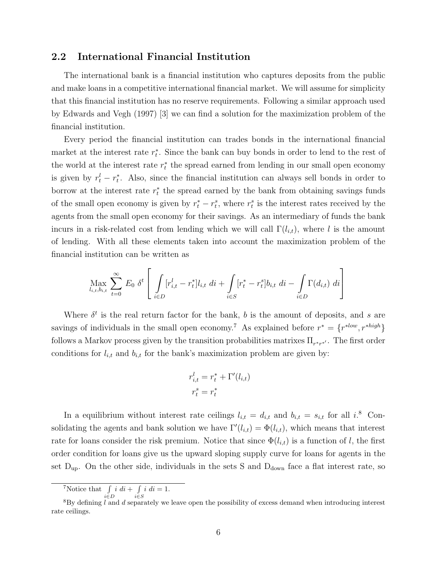#### 2.2 International Financial Institution

The international bank is a financial institution who captures deposits from the public and make loans in a competitive international financial market. We will assume for simplicity that this financial institution has no reserve requirements. Following a similar approach used by Edwards and Vegh (1997) [3] we can find a solution for the maximization problem of the financial institution.

Every period the financial institution can trades bonds in the international financial market at the interest rate  $r_t^*$  $_t^*$ . Since the bank can buy bonds in order to lend to the rest of the world at the interest rate  $r_t^*$  $_{t}^{*}$  the spread earned from lending in our small open economy is given by  $r_t^l - r_t^*$  $_{t}^{*}$ . Also, since the financial institution can always sell bonds in order to borrow at the interest rate  $r_t^*$  $_{t}^{*}$  the spread earned by the bank from obtaining savings funds of the small open economy is given by  $r_t^* - r_t^s$ , where  $r_t^s$  is the interest rates received by the agents from the small open economy for their savings. As an intermediary of funds the bank incurs in a risk-related cost from lending which we will call  $\Gamma(l_{i,t})$ , where l is the amount of lending. With all these elements taken into account the maximization problem of the financial institution can be written as

$$
\max_{l_{i,t}, b_{i,t}} \sum_{t=0}^{\infty} E_0 \delta^t \left[ \int_{i \in D} [r_{i,t}^l - r_t^*] l_{i,t} \, dt + \int_{i \in S} [r_t^* - r_t^*] b_{i,t} \, dt - \int_{i \in D} \Gamma(d_{i,t}) \, dt \right]
$$

Where  $\delta^t$  is the real return factor for the bank, b is the amount of deposits, and s are savings of individuals in the small open economy.<sup>7</sup> As explained before  $r^* = \{r^{*low}, r^{*high}\}\$ follows a Markov process given by the transition probabilities matrixes  $\Pi_{r^*r^*}$ . The first order conditions for  $l_{i,t}$  and  $b_{i,t}$  for the bank's maximization problem are given by:

$$
r_{i,t}^l = r_t^* + \Gamma'(l_{i,t})
$$

$$
r_t^s = r_t^*
$$

In a equilibrium without interest rate ceilings  $l_{i,t} = d_{i,t}$  and  $b_{i,t} = s_{i,t}$  for all  $i$ <sup>8</sup> Consolidating the agents and bank solution we have  $\Gamma'(l_{i,t}) = \Phi(l_{i,t})$ , which means that interest rate for loans consider the risk premium. Notice that since  $\Phi(l_{i,t})$  is a function of l, the first order condition for loans give us the upward sloping supply curve for loans for agents in the set  $D_{up}$ . On the other side, individuals in the sets S and  $D_{down}$  face a flat interest rate, so

<sup>&</sup>lt;sup>7</sup>Notice that  $\int$ i∈D  $i \, di + \int$ i∈S  $i \, di = 1.$ 

 $8By$  defining l and d separately we leave open the possibility of excess demand when introducing interest rate ceilings.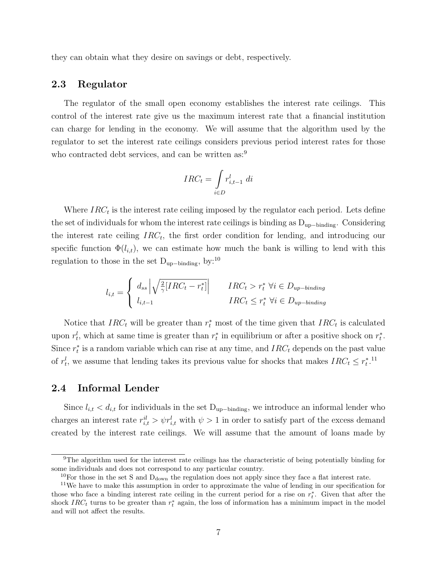they can obtain what they desire on savings or debt, respectively.

#### 2.3 Regulator

The regulator of the small open economy establishes the interest rate ceilings. This control of the interest rate give us the maximum interest rate that a financial institution can charge for lending in the economy. We will assume that the algorithm used by the regulator to set the interest rate ceilings considers previous period interest rates for those who contracted debt services, and can be written as:<sup>9</sup>

$$
IRC_t = \int_{i \in D} r_{i,t-1}^l \ di
$$

Where  $IRC_t$  is the interest rate ceiling imposed by the regulator each period. Lets define the set of individuals for whom the interest rate ceilings is binding as  $D_{up-binding}$ . Considering the interest rate ceiling  $IRC_t$ , the first order condition for lending, and introducing our specific function  $\Phi(l_{i,t})$ , we can estimate how much the bank is willing to lend with this regulation to those in the set  $D_{\text{up}-\text{binding}}$ , by:<sup>10</sup>

$$
l_{i,t} = \begin{cases} d_{ss} \left| \sqrt{\frac{2}{\gamma} [IRC_t - r_t^*]} \right| & IRC_t > r_t^* \ \forall i \in D_{up-binding} \\ l_{i,t-1} & IRC_t \leq r_t^* \ \forall i \in D_{up-binding} \end{cases}
$$

Notice that  $IRC_t$  will be greater than  $r_t^*$  most of the time given that  $IRC_t$  is calculated upon  $r_t^l$ , which at same time is greater than  $r_t^*$  $_t^*$  in equilibrium or after a positive shock on  $r_t^*$  $\frac{*}{t}$ . Since  $r_t^*$  $_{t}^{*}$  is a random variable which can rise at any time, and  $IRC_t$  depends on the past value of  $r_t^l$ , we assume that lending takes its previous value for shocks that makes  $IRC_t \leq r_t^*$  $_{t}^{*}$ .<sup>11</sup>

#### 2.4 Informal Lender

Since  $l_{i,t} < d_{i,t}$  for individuals in the set D<sub>up</sub>–binding, we introduce an informal lender who charges an interest rate  $r_{i,t}^{il} > \psi r_{i,t}^{l}$  with  $\psi > 1$  in order to satisfy part of the excess demand created by the interest rate ceilings. We will assume that the amount of loans made by

<sup>&</sup>lt;sup>9</sup>The algorithm used for the interest rate ceilings has the characteristic of being potentially binding for some individuals and does not correspond to any particular country.

<sup>&</sup>lt;sup>10</sup>For those in the set S and  $D_{down}$  the regulation does not apply since they face a flat interest rate.

<sup>11</sup>We have to make this assumption in order to approximate the value of lending in our specification for those who face a binding interest rate ceiling in the current period for a rise on  $r_t^*$ . Given that after the shock  $IRC_t$  turns to be greater than  $r_t^*$  again, the loss of information has a minimum impact in the model and will not affect the results.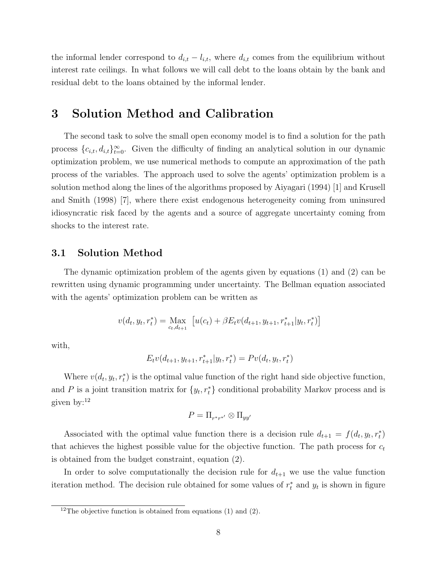the informal lender correspond to  $d_{i,t} - l_{i,t}$ , where  $d_{i,t}$  comes from the equilibrium without interest rate ceilings. In what follows we will call debt to the loans obtain by the bank and residual debt to the loans obtained by the informal lender.

## 3 Solution Method and Calibration

The second task to solve the small open economy model is to find a solution for the path process  ${c_{i,t}, d_{i,t}}_{t=0}^{\infty}$ . Given the difficulty of finding an analytical solution in our dynamic optimization problem, we use numerical methods to compute an approximation of the path process of the variables. The approach used to solve the agents' optimization problem is a solution method along the lines of the algorithms proposed by Aiyagari (1994) [1] and Krusell and Smith (1998) [7], where there exist endogenous heterogeneity coming from uninsured idiosyncratic risk faced by the agents and a source of aggregate uncertainty coming from shocks to the interest rate.

#### 3.1 Solution Method

The dynamic optimization problem of the agents given by equations (1) and (2) can be rewritten using dynamic programming under uncertainty. The Bellman equation associated with the agents' optimization problem can be written as

$$
v(d_t, y_t, r_t^*) = \max_{c_t, d_{t+1}} [u(c_t) + \beta E_t v(d_{t+1}, y_{t+1}, r_{t+1}^* | y_t, r_t^*)]
$$

with,

$$
E_t v(d_{t+1}, y_{t+1}, r_{t+1}^* | y_t, r_t^*) = Pv(d_t, y_t, r_t^*)
$$

Where  $v(d_t, y_t, r_t^*)$  is the optimal value function of the right hand side objective function, and P is a joint transition matrix for  $\{y_t, r_t^*\}$  conditional probability Markov process and is given by:<sup>12</sup>

$$
P=\Pi_{r^*r^{*'}}\otimes \Pi_{yy'}
$$

Associated with the optimal value function there is a decision rule  $d_{t+1} = f(d_t, y_t, r_t^*)$ that achieves the highest possible value for the objective function. The path process for  $c_t$ is obtained from the budget constraint, equation (2).

In order to solve computationally the decision rule for  $d_{t+1}$  we use the value function iteration method. The decision rule obtained for some values of  $r_t^*$  $t<sub>t</sub>$  and  $y<sub>t</sub>$  is shown in figure

<sup>&</sup>lt;sup>12</sup>The objective function is obtained from equations (1) and (2).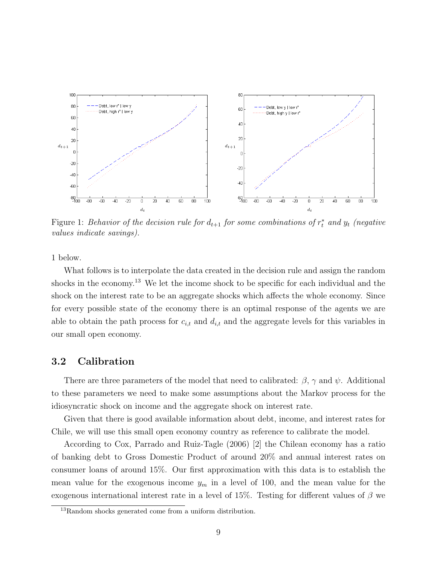

Figure 1: Behavior of the decision rule for  $d_{t+1}$  for some combinations of  $r_t^*$  and  $y_t$  (negative values indicate savings).

1 below.

What follows is to interpolate the data created in the decision rule and assign the random shocks in the economy.<sup>13</sup> We let the income shock to be specific for each individual and the shock on the interest rate to be an aggregate shocks which affects the whole economy. Since for every possible state of the economy there is an optimal response of the agents we are able to obtain the path process for  $c_{i,t}$  and  $d_{i,t}$  and the aggregate levels for this variables in our small open economy.

### 3.2 Calibration

There are three parameters of the model that need to calibrated:  $\beta$ ,  $\gamma$  and  $\psi$ . Additional to these parameters we need to make some assumptions about the Markov process for the idiosyncratic shock on income and the aggregate shock on interest rate.

Given that there is good available information about debt, income, and interest rates for Chile, we will use this small open economy country as reference to calibrate the model.

According to Cox, Parrado and Ruiz-Tagle (2006) [2] the Chilean economy has a ratio of banking debt to Gross Domestic Product of around 20% and annual interest rates on consumer loans of around 15%. Our first approximation with this data is to establish the mean value for the exogenous income  $y_m$  in a level of 100, and the mean value for the exogenous international interest rate in a level of 15%. Testing for different values of  $\beta$  we

<sup>13</sup>Random shocks generated come from a uniform distribution.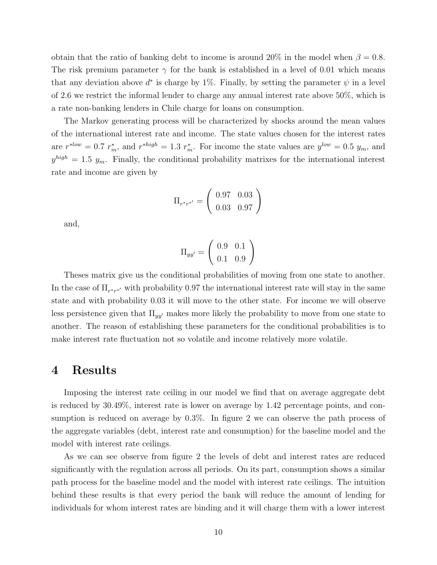obtain that the ratio of banking debt to income is around 20% in the model when  $\beta = 0.8$ . The risk premium parameter  $\gamma$  for the bank is established in a level of 0.01 which means that any deviation above  $d^*$  is charge by 1%. Finally, by setting the parameter  $\psi$  in a level of 2.6 we restrict the informal lender to charge any annual interest rate above 50%, which is a rate non-banking lenders in Chile charge for loans on consumption.

The Markov generating process will be characterized by shocks around the mean values of the international interest rate and income. The state values chosen for the interest rates are  $r^{slow} = 0.7 r_m^*$ , and  $r^{*high} = 1.3 r_m^*$ . For income the state values are  $y^{low} = 0.5 y_m$ , and  $y^{high} = 1.5 y_m$ . Finally, the conditional probability matrixes for the international interest rate and income are given by

$$
\Pi_{r^*r^{*'}} = \left(\begin{array}{cc} 0.97 & 0.03\\ 0.03 & 0.97 \end{array}\right)
$$

and,

$$
\Pi_{yy'} = \left(\begin{array}{cc} 0.9 & 0.1 \\ 0.1 & 0.9 \end{array}\right)
$$

Theses matrix give us the conditional probabilities of moving from one state to another. In the case of  $\Pi_{r^*r^*}$  with probability 0.97 the international interest rate will stay in the same state and with probability 0.03 it will move to the other state. For income we will observe less persistence given that  $\Pi_{yy'}$  makes more likely the probability to move from one state to another. The reason of establishing these parameters for the conditional probabilities is to make interest rate fluctuation not so volatile and income relatively more volatile.

## 4 Results

Imposing the interest rate ceiling in our model we find that on average aggregate debt is reduced by 30.49%, interest rate is lower on average by 1.42 percentage points, and consumption is reduced on average by 0.3%. In figure 2 we can observe the path process of the aggregate variables (debt, interest rate and consumption) for the baseline model and the model with interest rate ceilings.

As we can see observe from figure 2 the levels of debt and interest rates are reduced significantly with the regulation across all periods. On its part, consumption shows a similar path process for the baseline model and the model with interest rate ceilings. The intuition behind these results is that every period the bank will reduce the amount of lending for individuals for whom interest rates are binding and it will charge them with a lower interest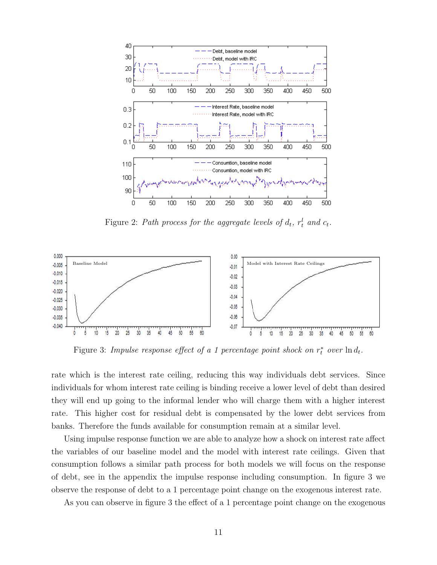

Figure 2: Path process for the aggregate levels of  $d_t$ ,  $r_t^l$  and  $c_t$ .



Figure 3: Impulse response effect of a 1 percentage point shock on  $r_t^*$  over  $\ln d_t$ .

rate which is the interest rate ceiling, reducing this way individuals debt services. Since individuals for whom interest rate ceiling is binding receive a lower level of debt than desired they will end up going to the informal lender who will charge them with a higher interest rate. This higher cost for residual debt is compensated by the lower debt services from banks. Therefore the funds available for consumption remain at a similar level.

Using impulse response function we are able to analyze how a shock on interest rate affect the variables of our baseline model and the model with interest rate ceilings. Given that consumption follows a similar path process for both models we will focus on the response of debt, see in the appendix the impulse response including consumption. In figure 3 we observe the response of debt to a 1 percentage point change on the exogenous interest rate.

As you can observe in figure 3 the effect of a 1 percentage point change on the exogenous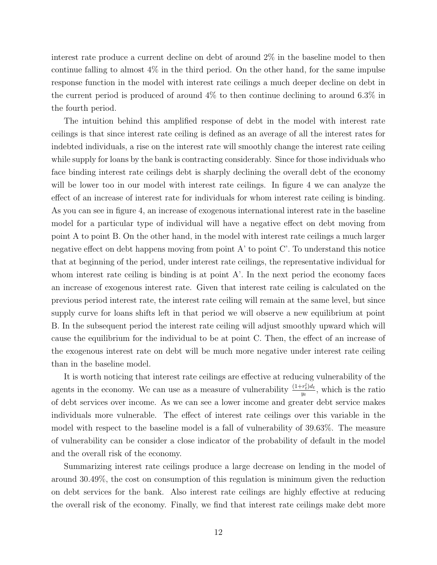interest rate produce a current decline on debt of around 2% in the baseline model to then continue falling to almost  $4\%$  in the third period. On the other hand, for the same impulse response function in the model with interest rate ceilings a much deeper decline on debt in the current period is produced of around 4% to then continue declining to around 6.3% in the fourth period.

The intuition behind this amplified response of debt in the model with interest rate ceilings is that since interest rate ceiling is defined as an average of all the interest rates for indebted individuals, a rise on the interest rate will smoothly change the interest rate ceiling while supply for loans by the bank is contracting considerably. Since for those individuals who face binding interest rate ceilings debt is sharply declining the overall debt of the economy will be lower too in our model with interest rate ceilings. In figure 4 we can analyze the effect of an increase of interest rate for individuals for whom interest rate ceiling is binding. As you can see in figure 4, an increase of exogenous international interest rate in the baseline model for a particular type of individual will have a negative effect on debt moving from point A to point B. On the other hand, in the model with interest rate ceilings a much larger negative effect on debt happens moving from point A' to point C'. To understand this notice that at beginning of the period, under interest rate ceilings, the representative individual for whom interest rate ceiling is binding is at point  $A'$ . In the next period the economy faces an increase of exogenous interest rate. Given that interest rate ceiling is calculated on the previous period interest rate, the interest rate ceiling will remain at the same level, but since supply curve for loans shifts left in that period we will observe a new equilibrium at point B. In the subsequent period the interest rate ceiling will adjust smoothly upward which will cause the equilibrium for the individual to be at point C. Then, the effect of an increase of the exogenous interest rate on debt will be much more negative under interest rate ceiling than in the baseline model.

It is worth noticing that interest rate ceilings are effective at reducing vulnerability of the agents in the economy. We can use as a measure of vulnerability  $\frac{(1+r_t^l)dt}{m_t}$  $\frac{r_t}{y_t}$ , which is the ratio of debt services over income. As we can see a lower income and greater debt service makes individuals more vulnerable. The effect of interest rate ceilings over this variable in the model with respect to the baseline model is a fall of vulnerability of 39.63%. The measure of vulnerability can be consider a close indicator of the probability of default in the model and the overall risk of the economy.

Summarizing interest rate ceilings produce a large decrease on lending in the model of around 30.49%, the cost on consumption of this regulation is minimum given the reduction on debt services for the bank. Also interest rate ceilings are highly effective at reducing the overall risk of the economy. Finally, we find that interest rate ceilings make debt more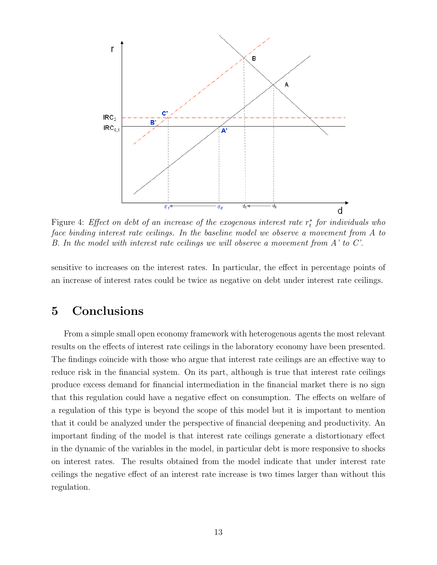

Figure 4: Effect on debt of an increase of the exogenous interest rate  $r_t^*$  $_{t}^{*}$  for individuals who face binding interest rate ceilings. In the baseline model we observe a movement from A to B. In the model with interest rate ceilings we will observe a movement from A' to C'.

sensitive to increases on the interest rates. In particular, the effect in percentage points of an increase of interest rates could be twice as negative on debt under interest rate ceilings.

## 5 Conclusions

From a simple small open economy framework with heterogenous agents the most relevant results on the effects of interest rate ceilings in the laboratory economy have been presented. The findings coincide with those who argue that interest rate ceilings are an effective way to reduce risk in the financial system. On its part, although is true that interest rate ceilings produce excess demand for financial intermediation in the financial market there is no sign that this regulation could have a negative effect on consumption. The effects on welfare of a regulation of this type is beyond the scope of this model but it is important to mention that it could be analyzed under the perspective of financial deepening and productivity. An important finding of the model is that interest rate ceilings generate a distortionary effect in the dynamic of the variables in the model, in particular debt is more responsive to shocks on interest rates. The results obtained from the model indicate that under interest rate ceilings the negative effect of an interest rate increase is two times larger than without this regulation.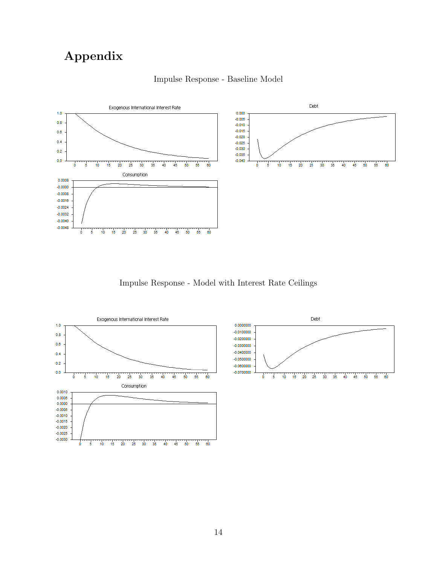## Appendix



### Impulse Response - Baseline Model

Impulse Response - Model with Interest Rate Ceilings



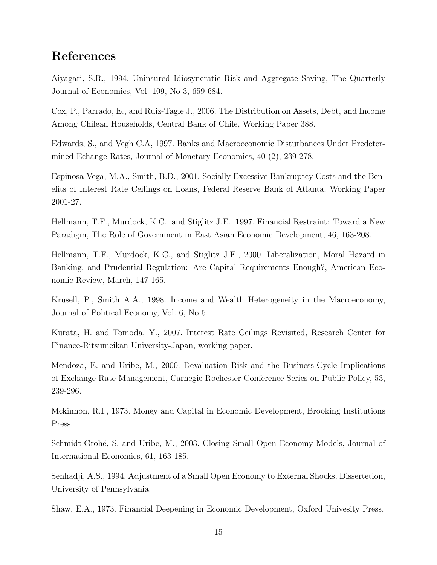## References

Aiyagari, S.R., 1994. Uninsured Idiosyncratic Risk and Aggregate Saving, The Quarterly Journal of Economics, Vol. 109, No 3, 659-684.

Cox, P., Parrado, E., and Ruiz-Tagle J., 2006. The Distribution on Assets, Debt, and Income Among Chilean Households, Central Bank of Chile, Working Paper 388.

Edwards, S., and Vegh C.A, 1997. Banks and Macroeconomic Disturbances Under Predetermined Echange Rates, Journal of Monetary Economics, 40 (2), 239-278.

Espinosa-Vega, M.A., Smith, B.D., 2001. Socially Excessive Bankruptcy Costs and the Benefits of Interest Rate Ceilings on Loans, Federal Reserve Bank of Atlanta, Working Paper 2001-27.

Hellmann, T.F., Murdock, K.C., and Stiglitz J.E., 1997. Financial Restraint: Toward a New Paradigm, The Role of Government in East Asian Economic Development, 46, 163-208.

Hellmann, T.F., Murdock, K.C., and Stiglitz J.E., 2000. Liberalization, Moral Hazard in Banking, and Prudential Regulation: Are Capital Requirements Enough?, American Economic Review, March, 147-165.

Krusell, P., Smith A.A., 1998. Income and Wealth Heterogeneity in the Macroeconomy, Journal of Political Economy, Vol. 6, No 5.

Kurata, H. and Tomoda, Y., 2007. Interest Rate Ceilings Revisited, Research Center for Finance-Ritsumeikan University-Japan, working paper.

Mendoza, E. and Uribe, M., 2000. Devaluation Risk and the Business-Cycle Implications of Exchange Rate Management, Carnegie-Rochester Conference Series on Public Policy, 53, 239-296.

Mckinnon, R.I., 1973. Money and Capital in Economic Development, Brooking Institutions Press.

Schmidt-Grohé, S. and Uribe, M., 2003. Closing Small Open Economy Models, Journal of International Economics, 61, 163-185.

Senhadji, A.S., 1994. Adjustment of a Small Open Economy to External Shocks, Dissertetion, University of Pennsylvania.

Shaw, E.A., 1973. Financial Deepening in Economic Development, Oxford Univesity Press.